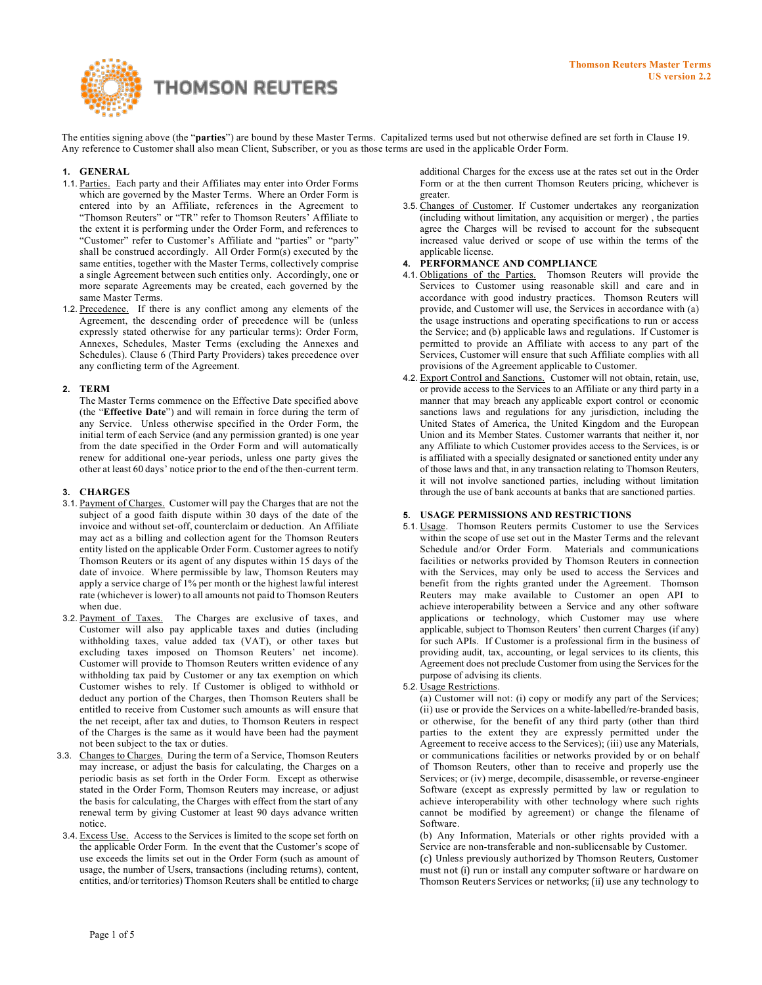

The entities signing above (the "**parties**") are bound by these Master Terms. Capitalized terms used but not otherwise defined are set forth in Clause 19. Any reference to Customer shall also mean Client, Subscriber, or you as those terms are used in the applicable Order Form.

### **1. GENERAL**

- 1.1. Parties. Each party and their Affiliates may enter into Order Forms which are governed by the Master Terms. Where an Order Form is entered into by an Affiliate, references in the Agreement to "Thomson Reuters" or "TR" refer to Thomson Reuters' Affiliate to the extent it is performing under the Order Form, and references to "Customer" refer to Customer's Affiliate and "parties" or "party" shall be construed accordingly. All Order Form(s) executed by the same entities, together with the Master Terms, collectively comprise a single Agreement between such entities only. Accordingly, one or more separate Agreements may be created, each governed by the same Master Terms.
- 1.2. Precedence. If there is any conflict among any elements of the Agreement, the descending order of precedence will be (unless expressly stated otherwise for any particular terms): Order Form, Annexes, Schedules, Master Terms (excluding the Annexes and Schedules). Clause 6 (Third Party Providers) takes precedence over any conflicting term of the Agreement.

### **2. TERM**

The Master Terms commence on the Effective Date specified above (the "**Effective Date**") and will remain in force during the term of any Service. Unless otherwise specified in the Order Form, the initial term of each Service (and any permission granted) is one year from the date specified in the Order Form and will automatically renew for additional one-year periods, unless one party gives the other at least 60 days' notice prior to the end of the then-current term.

### **3. CHARGES**

- 3.1. Payment of Charges. Customer will pay the Charges that are not the subject of a good faith dispute within 30 days of the date of the invoice and without set-off, counterclaim or deduction. An Affiliate may act as a billing and collection agent for the Thomson Reuters entity listed on the applicable Order Form. Customer agrees to notify Thomson Reuters or its agent of any disputes within 15 days of the date of invoice. Where permissible by law, Thomson Reuters may apply a service charge of 1% per month or the highest lawful interest rate (whichever is lower) to all amounts not paid to Thomson Reuters when due.
- 3.2. Payment of Taxes. The Charges are exclusive of taxes, and Customer will also pay applicable taxes and duties (including withholding taxes, value added tax (VAT), or other taxes but excluding taxes imposed on Thomson Reuters' net income). Customer will provide to Thomson Reuters written evidence of any withholding tax paid by Customer or any tax exemption on which Customer wishes to rely. If Customer is obliged to withhold or deduct any portion of the Charges, then Thomson Reuters shall be entitled to receive from Customer such amounts as will ensure that the net receipt, after tax and duties, to Thomson Reuters in respect of the Charges is the same as it would have been had the payment not been subject to the tax or duties.
- 3.3. Changes to Charges. During the term of a Service, Thomson Reuters may increase, or adjust the basis for calculating, the Charges on a periodic basis as set forth in the Order Form. Except as otherwise stated in the Order Form, Thomson Reuters may increase, or adjust the basis for calculating, the Charges with effect from the start of any renewal term by giving Customer at least 90 days advance written notice.
- 3.4. Excess Use. Access to the Services is limited to the scope set forth on the applicable Order Form. In the event that the Customer's scope of use exceeds the limits set out in the Order Form (such as amount of usage, the number of Users, transactions (including returns), content, entities, and/or territories) Thomson Reuters shall be entitled to charge

additional Charges for the excess use at the rates set out in the Order Form or at the then current Thomson Reuters pricing, whichever is greater.

3.5. Changes of Customer. If Customer undertakes any reorganization (including without limitation, any acquisition or merger) , the parties agree the Charges will be revised to account for the subsequent increased value derived or scope of use within the terms of the applicable license.

# **4. PERFORMANCE AND COMPLIANCE**

- 4.1. Obligations of the Parties. Thomson Reuters will provide the Services to Customer using reasonable skill and care and in accordance with good industry practices. Thomson Reuters will provide, and Customer will use, the Services in accordance with (a) the usage instructions and operating specifications to run or access the Service; and (b) applicable laws and regulations. If Customer is permitted to provide an Affiliate with access to any part of the Services, Customer will ensure that such Affiliate complies with all provisions of the Agreement applicable to Customer.
- 4.2. Export Control and Sanctions. Customer will not obtain, retain, use, or provide access to the Services to an Affiliate or any third party in a manner that may breach any applicable export control or economic sanctions laws and regulations for any jurisdiction, including the United States of America, the United Kingdom and the European Union and its Member States. Customer warrants that neither it, nor any Affiliate to which Customer provides access to the Services, is or is affiliated with a specially designated or sanctioned entity under any of those laws and that, in any transaction relating to Thomson Reuters, it will not involve sanctioned parties, including without limitation through the use of bank accounts at banks that are sanctioned parties.

#### **5. USAGE PERMISSIONS AND RESTRICTIONS**

- 5.1. Usage. Thomson Reuters permits Customer to use the Services within the scope of use set out in the Master Terms and the relevant Schedule and/or Order Form. Materials and communications facilities or networks provided by Thomson Reuters in connection with the Services, may only be used to access the Services and benefit from the rights granted under the Agreement. Thomson Reuters may make available to Customer an open API to achieve interoperability between a Service and any other software applications or technology, which Customer may use where applicable, subject to Thomson Reuters' then current Charges (if any) for such APIs. If Customer is a professional firm in the business of providing audit, tax, accounting, or legal services to its clients, this Agreement does not preclude Customer from using the Services for the purpose of advising its clients.
- 5.2. Usage Restrictions.

(a) Customer will not: (i) copy or modify any part of the Services; (ii) use or provide the Services on a white-labelled/re-branded basis, or otherwise, for the benefit of any third party (other than third parties to the extent they are expressly permitted under the Agreement to receive access to the Services); (iii) use any Materials, or communications facilities or networks provided by or on behalf of Thomson Reuters, other than to receive and properly use the Services; or (iv) merge, decompile, disassemble, or reverse-engineer Software (except as expressly permitted by law or regulation to achieve interoperability with other technology where such rights cannot be modified by agreement) or change the filename of Software.

(b) Any Information, Materials or other rights provided with a Service are non-transferable and non-sublicensable by Customer.

(c) Unless previously authorized by Thomson Reuters, Customer must not (i) run or install any computer software or hardware on Thomson Reuters Services or networks; (ii) use any technology to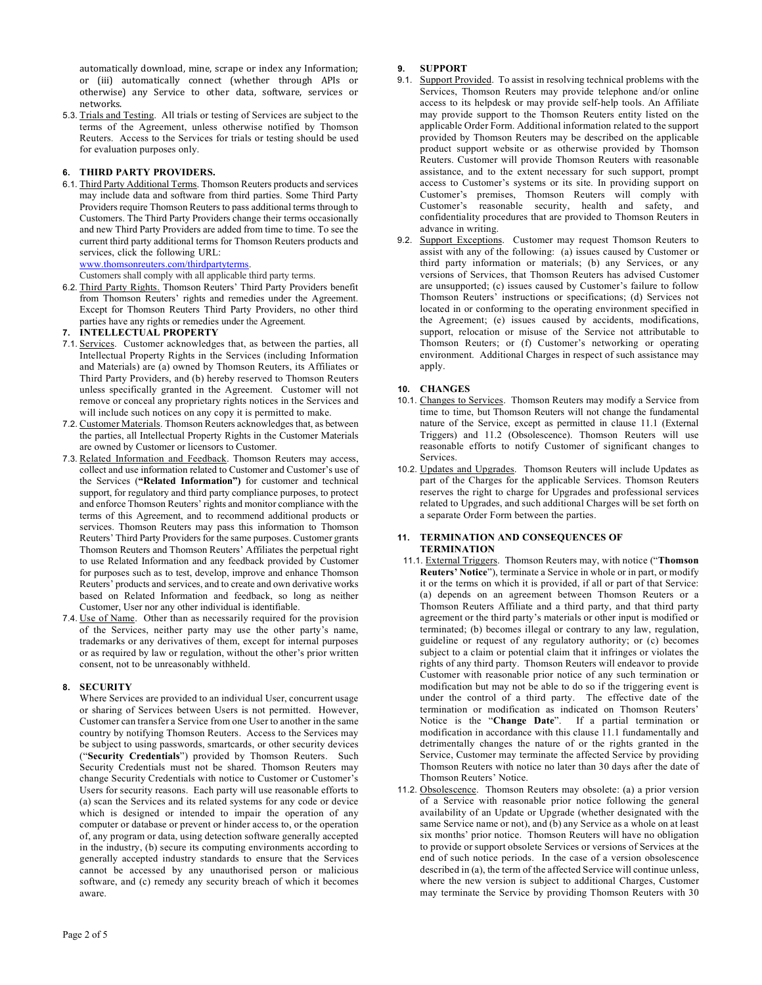automatically download, mine, scrape or index any Information; or (iii) automatically connect (whether through APIs or otherwise) any Service to other data, software, services or networks.

5.3. Trials and Testing. All trials or testing of Services are subject to the terms of the Agreement, unless otherwise notified by Thomson Reuters. Access to the Services for trials or testing should be used for evaluation purposes only.

# **6. THIRD PARTY PROVIDERS.**

6.1. Third Party Additional Terms. Thomson Reuters products and services may include data and software from third parties. Some Third Party Providers require Thomson Reuters to pass additional terms through to Customers. The Third Party Providers change their terms occasionally and new Third Party Providers are added from time to time. To see the current third party additional terms for Thomson Reuters products and services, click the following URL:

# [www.thomsonreuters.com/thirdpartyterms.](http://www.thomsonreuters.com/thirdpartyterms)

Customers shall comply with all applicable third party terms.

6.2. Third Party Rights. Thomson Reuters' Third Party Providers benefit from Thomson Reuters' rights and remedies under the Agreement. Except for Thomson Reuters Third Party Providers, no other third parties have any rights or remedies under the Agreement.

# **7. INTELLECTUAL PROPERTY**

- 7.1. Services. Customer acknowledges that, as between the parties, all Intellectual Property Rights in the Services (including Information and Materials) are (a) owned by Thomson Reuters, its Affiliates or Third Party Providers, and (b) hereby reserved to Thomson Reuters unless specifically granted in the Agreement. Customer will not remove or conceal any proprietary rights notices in the Services and will include such notices on any copy it is permitted to make.
- 7.2. Customer Materials. Thomson Reuters acknowledges that, as between the parties, all Intellectual Property Rights in the Customer Materials are owned by Customer or licensors to Customer.
- 7.3. Related Information and Feedback. Thomson Reuters may access, collect and use information related to Customer and Customer's use of the Services (**"Related Information")** for customer and technical support, for regulatory and third party compliance purposes, to protect and enforce Thomson Reuters' rights and monitor compliance with the terms of this Agreement, and to recommend additional products or services. Thomson Reuters may pass this information to Thomson Reuters' Third Party Providers for the same purposes. Customer grants Thomson Reuters and Thomson Reuters' Affiliates the perpetual right to use Related Information and any feedback provided by Customer for purposes such as to test, develop, improve and enhance Thomson Reuters' products and services, and to create and own derivative works based on Related Information and feedback, so long as neither Customer, User nor any other individual is identifiable.
- 7.4. Use of Name. Other than as necessarily required for the provision of the Services, neither party may use the other party's name, trademarks or any derivatives of them, except for internal purposes or as required by law or regulation, without the other's prior written consent, not to be unreasonably withheld.

# **8. SECURITY**

Where Services are provided to an individual User, concurrent usage or sharing of Services between Users is not permitted. However, Customer can transfer a Service from one User to another in the same country by notifying Thomson Reuters. Access to the Services may be subject to using passwords, smartcards, or other security devices ("**Security Credentials**") provided by Thomson Reuters. Such Security Credentials must not be shared. Thomson Reuters may change Security Credentials with notice to Customer or Customer's Users for security reasons. Each party will use reasonable efforts to (a) scan the Services and its related systems for any code or device which is designed or intended to impair the operation of any computer or database or prevent or hinder access to, or the operation of, any program or data, using detection software generally accepted in the industry, (b) secure its computing environments according to generally accepted industry standards to ensure that the Services cannot be accessed by any unauthorised person or malicious software, and (c) remedy any security breach of which it becomes aware.

# **9. SUPPORT**

- 9.1. Support Provided. To assist in resolving technical problems with the Services, Thomson Reuters may provide telephone and/or online access to its helpdesk or may provide self-help tools. An Affiliate may provide support to the Thomson Reuters entity listed on the applicable Order Form. Additional information related to the support provided by Thomson Reuters may be described on [the](http://thomsonreuters.com/support-and-training) applicable product support website or as otherwise provided by Thomson Reuters. Customer will provide Thomson Reuters with reasonable assistance, and to the extent necessary for such support, prompt access to Customer's systems or its site. In providing support on Customer's premises, Thomson Reuters will comply with Customer's reasonable security, health and safety, and confidentiality procedures that are provided to Thomson Reuters in advance in writing.
- 9.2. Support Exceptions. Customer may request Thomson Reuters to assist with any of the following: (a) issues caused by Customer or third party information or materials; (b) any Services, or any versions of Services, that Thomson Reuters has advised Customer are unsupported; (c) issues caused by Customer's failure to follow Thomson Reuters' instructions or specifications; (d) Services not located in or conforming to the operating environment specified in the Agreement; (e) issues caused by accidents, modifications, support, relocation or misuse of the Service not attributable to Thomson Reuters; or (f) Customer's networking or operating environment. Additional Charges in respect of such assistance may apply.

# **10. CHANGES**

- 10.1. Changes to Services. Thomson Reuters may modify a Service from time to time, but Thomson Reuters will not change the fundamental nature of the Service, except as permitted in clause 11.1 (External Triggers) and 11.2 (Obsolescence). Thomson Reuters will use reasonable efforts to notify Customer of significant changes to Services.
- 10.2. Updates and Upgrades. Thomson Reuters will include Updates as part of the Charges for the applicable Services. Thomson Reuters reserves the right to charge for Upgrades and professional services related to Upgrades, and such additional Charges will be set forth on a separate Order Form between the parties.

#### **11. TERMINATION AND CONSEQUENCES OF TERMINATION**

- 11.1. External Triggers. Thomson Reuters may, with notice ("**Thomson Reuters' Notice**"), terminate a Service in whole or in part, or modify it or the terms on which it is provided, if all or part of that Service: (a) depends on an agreement between Thomson Reuters or a Thomson Reuters Affiliate and a third party, and that third party agreement or the third party's materials or other input is modified or terminated; (b) becomes illegal or contrary to any law, regulation, guideline or request of any regulatory authority; or (c) becomes subject to a claim or potential claim that it infringes or violates the rights of any third party. Thomson Reuters will endeavor to provide Customer with reasonable prior notice of any such termination or modification but may not be able to do so if the triggering event is under the control of a third party. The effective date of the termination or modification as indicated on Thomson Reuters' Notice is the "**Change Date**". If a partial termination or modification in accordance with this clause 11.1 fundamentally and detrimentally changes the nature of or the rights granted in the Service, Customer may terminate the affected Service by providing Thomson Reuters with notice no later than 30 days after the date of Thomson Reuters' Notice.
- 11.2. Obsolescence. Thomson Reuters may obsolete: (a) a prior version of a Service with reasonable prior notice following the general availability of an Update or Upgrade (whether designated with the same Service name or not), and (b) any Service as a whole on at least six months' prior notice. Thomson Reuters will have no obligation to provide or support obsolete Services or versions of Services at the end of such notice periods. In the case of a version obsolescence described in (a), the term of the affected Service will continue unless, where the new version is subject to additional Charges, Customer may terminate the Service by providing Thomson Reuters with 30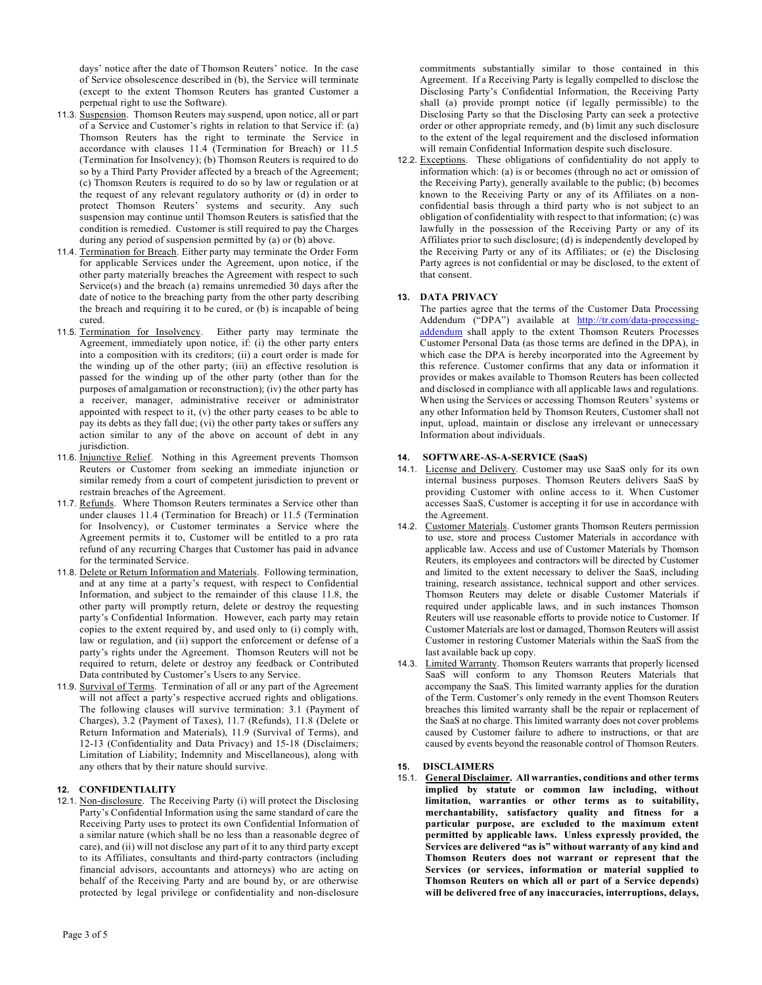days' notice after the date of Thomson Reuters' notice. In the case of Service obsolescence described in (b), the Service will terminate (except to the extent Thomson Reuters has granted Customer a perpetual right to use the Software).

- 11.3. Suspension. Thomson Reuters may suspend, upon notice, all or part of a Service and Customer's rights in relation to that Service if: (a) Thomson Reuters has the right to terminate the Service in accordance with clauses 11.4 (Termination for Breach) or 11.5 (Termination for Insolvency); (b) Thomson Reuters is required to do so by a Third Party Provider affected by a breach of the Agreement; (c) Thomson Reuters is required to do so by law or regulation or at the request of any relevant regulatory authority or (d) in order to protect Thomson Reuters' systems and security. Any such suspension may continue until Thomson Reuters is satisfied that the condition is remedied. Customer is still required to pay the Charges during any period of suspension permitted by (a) or (b) above.
- 11.4. Termination for Breach. Either party may terminate the Order Form for applicable Services under the Agreement, upon notice, if the other party materially breaches the Agreement with respect to such Service(s) and the breach (a) remains unremedied 30 days after the date of notice to the breaching party from the other party describing the breach and requiring it to be cured, or (b) is incapable of being cured.
- 11.5. Termination for Insolvency. Either party may terminate the Agreement, immediately upon notice, if: (i) the other party enters into a composition with its creditors; (ii) a court order is made for the winding up of the other party; (iii) an effective resolution is passed for the winding up of the other party (other than for the purposes of amalgamation or reconstruction); (iv) the other party has a receiver, manager, administrative receiver or administrator appointed with respect to it, (v) the other party ceases to be able to pay its debts as they fall due; (vi) the other party takes or suffers any action similar to any of the above on account of debt in any jurisdiction.
- 11.6. Injunctive Relief. Nothing in this Agreement prevents Thomson Reuters or Customer from seeking an immediate injunction or similar remedy from a court of competent jurisdiction to prevent or restrain breaches of the Agreement.
- 11.7. Refunds. Where Thomson Reuters terminates a Service other than under clauses 11.4 (Termination for Breach) or 11.5 (Termination for Insolvency), or Customer terminates a Service where the Agreement permits it to, Customer will be entitled to a pro rata refund of any recurring Charges that Customer has paid in advance for the terminated Service.
- 11.8. Delete or Return Information and Materials. Following termination, and at any time at a party's request, with respect to Confidential Information, and subject to the remainder of this clause 11.8, the other party will promptly return, delete or destroy the requesting party's Confidential Information. However, each party may retain copies to the extent required by, and used only to (i) comply with, law or regulation, and (ii) support the enforcement or defense of a party's rights under the Agreement. Thomson Reuters will not be required to return, delete or destroy any feedback or Contributed Data contributed by Customer's Users to any Service.
- 11.9. Survival of Terms. Termination of all or any part of the Agreement will not affect a party's respective accrued rights and obligations. The following clauses will survive termination: 3.1 (Payment of Charges), 3.2 (Payment of Taxes), 11.7 (Refunds), 11.8 (Delete or Return Information and Materials), 11.9 (Survival of Terms), and 12-13 (Confidentiality and Data Privacy) and 15-18 (Disclaimers; Limitation of Liability; Indemnity and Miscellaneous), along with any others that by their nature should survive.

# **12. CONFIDENTIALITY**

12.1. Non-disclosure. The Receiving Party (i) will protect the Disclosing Party's Confidential Information using the same standard of care the Receiving Party uses to protect its own Confidential Information of a similar nature (which shall be no less than a reasonable degree of care), and (ii) will not disclose any part of it to any third party except to its Affiliates, consultants and third-party contractors (including financial advisors, accountants and attorneys) who are acting on behalf of the Receiving Party and are bound by, or are otherwise protected by legal privilege or confidentiality and non-disclosure

commitments substantially similar to those contained in this Agreement. If a Receiving Party is legally compelled to disclose the Disclosing Party's Confidential Information, the Receiving Party shall (a) provide prompt notice (if legally permissible) to the Disclosing Party so that the Disclosing Party can seek a protective order or other appropriate remedy, and (b) limit any such disclosure to the extent of the legal requirement and the disclosed information will remain Confidential Information despite such disclosure.

12.2. Exceptions. These obligations of confidentiality do not apply to information which: (a) is or becomes (through no act or omission of the Receiving Party), generally available to the public; (b) becomes known to the Receiving Party or any of its Affiliates on a nonconfidential basis through a third party who is not subject to an obligation of confidentiality with respect to that information; (c) was lawfully in the possession of the Receiving Party or any of its Affiliates prior to such disclosure; (d) is independently developed by the Receiving Party or any of its Affiliates; or (e) the Disclosing Party agrees is not confidential or may be disclosed, to the extent of that consent.

# **13. DATA PRIVACY**

The parties agree that the terms of the Customer Data Processing Addendum ("DPA") available at [http://tr.com/data-processing](http://tr.com/data-processing-addendum)[addendum](http://tr.com/data-processing-addendum) shall apply to the extent Thomson Reuters Processes Customer Personal Data (as those terms are defined in the DPA), in which case the DPA is hereby incorporated into the Agreement by this reference. Customer confirms that any data or information it provides or makes available to Thomson Reuters has been collected and disclosed in compliance with all applicable laws and regulations. When using the Services or accessing Thomson Reuters' systems or any other Information held by Thomson Reuters, Customer shall not input, upload, maintain or disclose any irrelevant or unnecessary Information about individuals.

# **14. SOFTWARE-AS-A-SERVICE (SaaS)**

- 14.1. License and Delivery. Customer may use SaaS only for its own internal business purposes. Thomson Reuters delivers SaaS by providing Customer with online access to it. When Customer accesses SaaS, Customer is accepting it for use in accordance with the Agreement.
- 14.2. Customer Materials. Customer grants Thomson Reuters permission to use, store and process Customer Materials in accordance with applicable law. Access and use of Customer Materials by Thomson Reuters, its employees and contractors will be directed by Customer and limited to the extent necessary to deliver the SaaS, including training, research assistance, technical support and other services. Thomson Reuters may delete or disable Customer Materials if required under applicable laws, and in such instances Thomson Reuters will use reasonable efforts to provide notice to Customer. If Customer Materials are lost or damaged, Thomson Reuters will assist Customer in restoring Customer Materials within the SaaS from the last available back up copy.
- 14.3. Limited Warranty. Thomson Reuters warrants that properly licensed SaaS will conform to any Thomson Reuters Materials that accompany the SaaS. This limited warranty applies for the duration of the Term. Customer's only remedy in the event Thomson Reuters breaches this limited warranty shall be the repair or replacement of the SaaS at no charge. This limited warranty does not cover problems caused by Customer failure to adhere to instructions, or that are caused by events beyond the reasonable control of Thomson Reuters.

# **15. DISCLAIMERS**

15.1. **General Disclaimer. All warranties, conditions and other terms implied by statute or common law including, without limitation, warranties or other terms as to suitability, merchantability, satisfactory quality and fitness for a particular purpose, are excluded to the maximum extent permitted by applicable laws. Unless expressly provided, the Services are delivered "as is" without warranty of any kind and Thomson Reuters does not warrant or represent that the Services (or services, information or material supplied to Thomson Reuters on which all or part of a Service depends) will be delivered free of any inaccuracies, interruptions, delays,**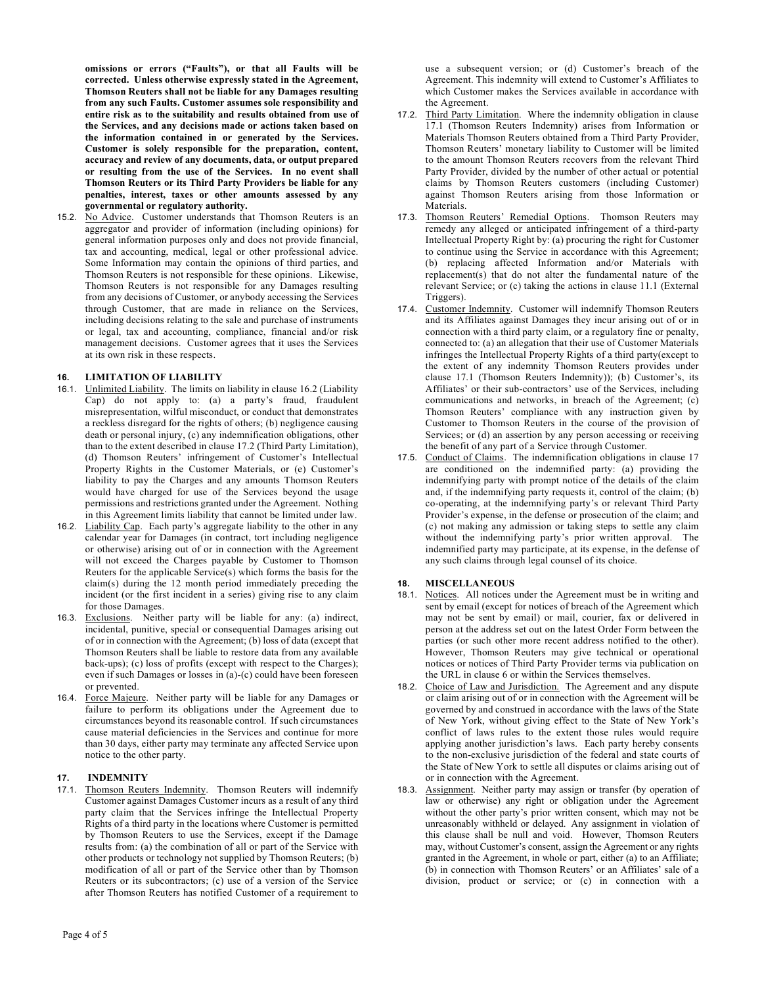**omissions or errors ("Faults"), or that all Faults will be corrected. Unless otherwise expressly stated in the Agreement, Thomson Reuters shall not be liable for any Damages resulting from any such Faults. Customer assumes sole responsibility and entire risk as to the suitability and results obtained from use of the Services, and any decisions made or actions taken based on the information contained in or generated by the Services. Customer is solely responsible for the preparation, content, accuracy and review of any documents, data, or output prepared or resulting from the use of the Services. In no event shall Thomson Reuters or its Third Party Providers be liable for any penalties, interest, taxes or other amounts assessed by any governmental or regulatory authority.**

15.2. No Advice. Customer understands that Thomson Reuters is an aggregator and provider of information (including opinions) for general information purposes only and does not provide financial, tax and accounting, medical, legal or other professional advice. Some Information may contain the opinions of third parties, and Thomson Reuters is not responsible for these opinions. Likewise, Thomson Reuters is not responsible for any Damages resulting from any decisions of Customer, or anybody accessing the Services through Customer, that are made in reliance on the Services, including decisions relating to the sale and purchase of instruments or legal, tax and accounting, compliance, financial and/or risk management decisions. Customer agrees that it uses the Services at its own risk in these respects.

### **16. LIMITATION OF LIABILITY**

- 16.1. Unlimited Liability. The limits on liability in clause 16.2 (Liability Cap) do not apply to: (a) a party's fraud, fraudulent misrepresentation, wilful misconduct, or conduct that demonstrates a reckless disregard for the rights of others; (b) negligence causing death or personal injury, (c) any indemnification obligations, other than to the extent described in clause 17.2 (Third Party Limitation), (d) Thomson Reuters' infringement of Customer's Intellectual Property Rights in the Customer Materials, or (e) Customer's liability to pay the Charges and any amounts Thomson Reuters would have charged for use of the Services beyond the usage permissions and restrictions granted under the Agreement. Nothing in this Agreement limits liability that cannot be limited under law.
- 16.2. Liability Cap. Each party's aggregate liability to the other in any calendar year for Damages (in contract, tort including negligence or otherwise) arising out of or in connection with the Agreement will not exceed the Charges payable by Customer to Thomson Reuters for the applicable Service(s) which forms the basis for the claim(s) during the 12 month period immediately preceding the incident (or the first incident in a series) giving rise to any claim for those Damages.
- 16.3. Exclusions. Neither party will be liable for any: (a) indirect, incidental, punitive, special or consequential Damages arising out of or in connection with the Agreement; (b) loss of data (except that Thomson Reuters shall be liable to restore data from any available back-ups); (c) loss of profits (except with respect to the Charges); even if such Damages or losses in (a)-(c) could have been foreseen or prevented.
- 16.4. Force Majeure. Neither party will be liable for any Damages or failure to perform its obligations under the Agreement due to circumstances beyond its reasonable control. If such circumstances cause material deficiencies in the Services and continue for more than 30 days, either party may terminate any affected Service upon notice to the other party.

# **17. INDEMNITY**

17.1. Thomson Reuters Indemnity. Thomson Reuters will indemnify Customer against Damages Customer incurs as a result of any third party claim that the Services infringe the Intellectual Property Rights of a third party in the locations where Customer is permitted by Thomson Reuters to use the Services, except if the Damage results from: (a) the combination of all or part of the Service with other products or technology not supplied by Thomson Reuters; (b) modification of all or part of the Service other than by Thomson Reuters or its subcontractors; (c) use of a version of the Service after Thomson Reuters has notified Customer of a requirement to

use a subsequent version; or (d) Customer's breach of the Agreement. This indemnity will extend to Customer's Affiliates to which Customer makes the Services available in accordance with the Agreement.

- 17.2. Third Party Limitation. Where the indemnity obligation in clause 17.1 (Thomson Reuters Indemnity) arises from Information or Materials Thomson Reuters obtained from a Third Party Provider, Thomson Reuters' monetary liability to Customer will be limited to the amount Thomson Reuters recovers from the relevant Third Party Provider, divided by the number of other actual or potential claims by Thomson Reuters customers (including Customer) against Thomson Reuters arising from those Information or Materials.
- 17.3. Thomson Reuters' Remedial Options. Thomson Reuters may remedy any alleged or anticipated infringement of a third-party Intellectual Property Right by: (a) procuring the right for Customer to continue using the Service in accordance with this Agreement; (b) replacing affected Information and/or Materials with replacement(s) that do not alter the fundamental nature of the relevant Service; or (c) taking the actions in clause 11.1 (External Triggers).
- 17.4. Customer Indemnity. Customer will indemnify Thomson Reuters and its Affiliates against Damages they incur arising out of or in connection with a third party claim, or a regulatory fine or penalty, connected to: (a) an allegation that their use of Customer Materials infringes the Intellectual Property Rights of a third party(except to the extent of any indemnity Thomson Reuters provides under clause 17.1 (Thomson Reuters Indemnity)); (b) Customer's, its Affiliates' or their sub-contractors' use of the Services, including communications and networks, in breach of the Agreement; (c) Thomson Reuters' compliance with any instruction given by Customer to Thomson Reuters in the course of the provision of Services; or (d) an assertion by any person accessing or receiving the benefit of any part of a Service through Customer.
- 17.5. Conduct of Claims. The indemnification obligations in clause 17 are conditioned on the indemnified party: (a) providing the indemnifying party with prompt notice of the details of the claim and, if the indemnifying party requests it, control of the claim; (b) co-operating, at the indemnifying party's or relevant Third Party Provider's expense, in the defense or prosecution of the claim; and (c) not making any admission or taking steps to settle any claim without the indemnifying party's prior written approval. The indemnified party may participate, at its expense, in the defense of any such claims through legal counsel of its choice.

#### **18. MISCELLANEOUS**

- 18.1. Notices. All notices under the Agreement must be in writing and sent by email (except for notices of breach of the Agreement which may not be sent by email) or mail, courier, fax or delivered in person at the address set out on the latest Order Form between the parties (or such other more recent address notified to the other). However, Thomson Reuters may give technical or operational notices or notices of Third Party Provider terms via publication on the URL in clause 6 or within the Services themselves.
- 18.2. Choice of Law and Jurisdiction.The Agreement and any dispute or claim arising out of or in connection with the Agreement will be governed by and construed in accordance with the laws of the State of New York, without giving effect to the State of New York's conflict of laws rules to the extent those rules would require applying another jurisdiction's laws. Each party hereby consents to the non-exclusive jurisdiction of the federal and state courts of the State of New York to settle all disputes or claims arising out of or in connection with the Agreement.
- 18.3. Assignment. Neither party may assign or transfer (by operation of law or otherwise) any right or obligation under the Agreement without the other party's prior written consent, which may not be unreasonably withheld or delayed. Any assignment in violation of this clause shall be null and void. However, Thomson Reuters may, without Customer's consent, assign the Agreement or any rights granted in the Agreement, in whole or part, either (a) to an Affiliate; (b) in connection with Thomson Reuters' or an Affiliates' sale of a division, product or service; or (c) in connection with a